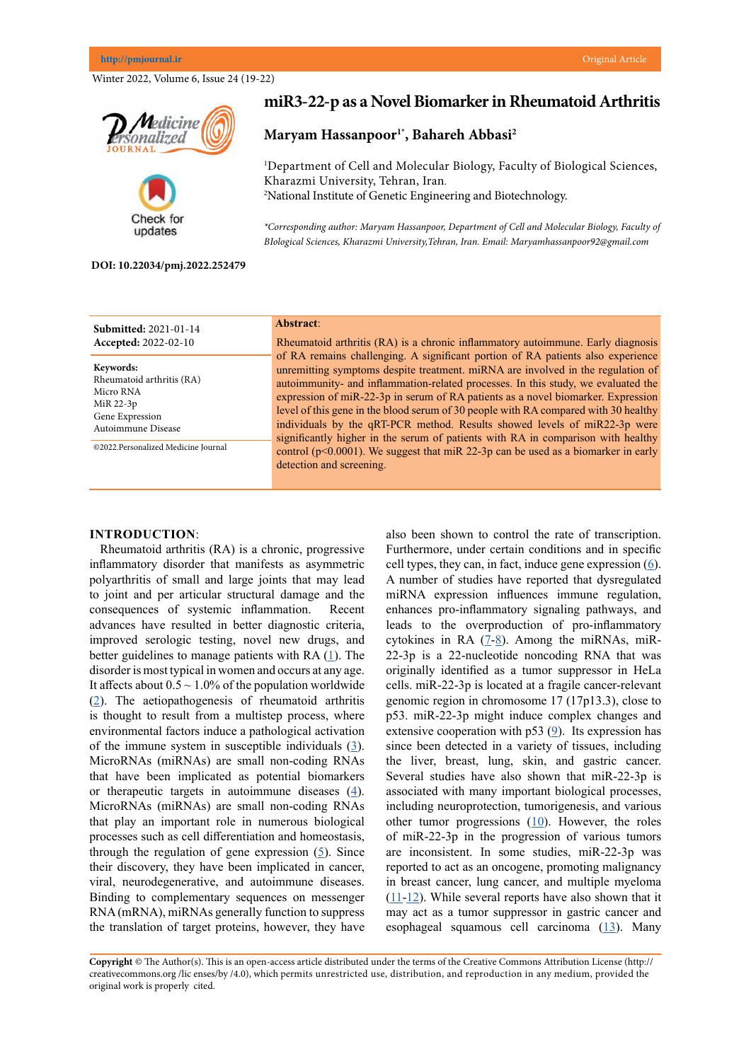Winter 2022, Volume 6, Issue 24 (19-22)





# **miR3-22-p as a Novel Biomarker in Rheumatoid Arthritis**

# **Maryam Hassanpoor1\* , Bahareh Abbasi2**

1 Department of Cell and Molecular Biology, Faculty of Biological Sciences, Kharazmi University, Tehran, Iran*.* 2 National Institute of Genetic Engineering and Biotechnology.

*\*Corresponding author: Maryam Hassanpoor, Department of Cell and Molecular Biology, Faculty of BIological Sciences, Kharazmi University,Tehran, Iran. Email: Maryamhassanpoor92@gmail.com*

#### **DOI: 10.22034/pmj.2022.252479**

| <b>Submitted: 2021-01-14</b>                                                                                                                     | Abstract:                                                                                                                                                                                                                                                                                                                                                                                                                                                                                                                                                                                                                                                                                                                |
|--------------------------------------------------------------------------------------------------------------------------------------------------|--------------------------------------------------------------------------------------------------------------------------------------------------------------------------------------------------------------------------------------------------------------------------------------------------------------------------------------------------------------------------------------------------------------------------------------------------------------------------------------------------------------------------------------------------------------------------------------------------------------------------------------------------------------------------------------------------------------------------|
| <b>Accepted: 2022-02-10</b>                                                                                                                      | Rheumatoid arthritis (RA) is a chronic inflammatory autoimmune. Early diagnosis                                                                                                                                                                                                                                                                                                                                                                                                                                                                                                                                                                                                                                          |
| Keywords:<br>Rheumatoid arthritis (RA)<br>Micro RNA<br>MiR 22-3p<br>Gene Expression<br>Autoimmune Disease<br>©2022.Personalized Medicine Journal | of RA remains challenging. A significant portion of RA patients also experience<br>unremitting symptoms despite treatment. miRNA are involved in the regulation of<br>autoimmunity- and inflammation-related processes. In this study, we evaluated the<br>expression of miR-22-3p in serum of RA patients as a novel biomarker. Expression<br>level of this gene in the blood serum of 30 people with RA compared with 30 healthy<br>individuals by the qRT-PCR method. Results showed levels of miR22-3p were<br>significantly higher in the serum of patients with RA in comparison with healthy<br>control ( $p<0.0001$ ). We suggest that miR 22-3p can be used as a biomarker in early<br>detection and screening. |

# **INTRODUCTION**:

Rheumatoid arthritis (RA) is a chronic, progressive inflammatory disorder that manifests as asymmetric polyarthritis of small and large joints that may lead to joint and per articular structural damage and the consequences of systemic inflammation. Recent advances have resulted in better diagnostic criteria, improved serologic testing, novel new drugs, and better guidelines to manage patients with RA  $(1)$  $(1)$ . The disorder is most typical in women and occurs at any age. It affects about  $0.5 \sim 1.0\%$  of the population worldwide ([2](Alamanos Y, Drosos AA. Epidemiology of adult rheumatoid arthritis. Autoimmunity reviews. 2005 Mar 1;4(3):130-6. 
)). The aetiopathogenesis of rheumatoid arthritis is thought to result from a multistep process, where environmental factors induce a pathological activation of the immune system in susceptible individuals  $(3)$  $(3)$ . MicroRNAs (miRNAs) are small non-coding RNAs that have been implicated as potential biomarkers or therapeutic targets in autoimmune diseases  $(4)$  $(4)$  $(4)$ . MicroRNAs (miRNAs) are small non-coding RNAs that play an important role in numerous biological processes such as cell differentiation and homeostasis, through the regulation of gene expression [\(5](O’Brien J, Hayder H, Zayed Y, Peng C. Overview of microRNA biogenesis, mechanisms of actions, and circulation. Frontiers in endocrinology. 2018 Aug 3;9:402.
)). Since their discovery, they have been implicated in cancer, viral, neurodegenerative, and autoimmune diseases. Binding to complementary sequences on messenger RNA (mRNA), miRNAs generally function to suppress the translation of target proteins, however, they have

also been shown to control the rate of transcription. Furthermore, under certain conditions and in specific cell types, they can, in fact, induce gene expression  $(6)$  $(6)$  $(6)$ . A number of studies have reported that dysregulated miRNA expression influences immune regulation, enhances pro-inflammatory signaling pathways, and leads to the overproduction of pro-inflammatory cytokines in RA  $(7-8)$  $(7-8)$  $(7-8)$  $(7-8)$  $(7-8)$ . Among the miRNAs, miR-22-3p is a 22-nucleotide noncoding RNA that was originally identified as a tumor suppressor in HeLa cells. miR-22-3p is located at a fragile cancer-relevant genomic region in chromosome 17 (17p13.3), close to p53. miR-22-3p might induce complex changes and extensive cooperation with p53  $(9)$  $(9)$  $(9)$ . Its expression has since been detected in a variety of tissues, including the liver, breast, lung, skin, and gastric cancer. Several studies have also shown that miR-22-3p is associated with many important biological processes, including neuroprotection, tumorigenesis, and various other tumor progressions  $(10)$  $(10)$ . However, the roles of miR-22-3p in the progression of various tumors are inconsistent. In some studies, miR-22-3p was reported to act as an oncogene, promoting malignancy in breast cancer, lung cancer, and multiple myeloma  $(11-12)$  $(11-12)$  $(11-12)$  $(11-12)$ . While several reports have also shown that it may act as a tumor suppressor in gastric cancer and esophageal squamous cell carcinoma [\(13](Wang X, Yu H, Lu X, Zhang P, Wang M, Hu Y. MiR-22 suppresses the proliferation and invasion of gastric cancer cells by inhibiting CD151. Biochemical and biophysical research communications. 2014 Feb 28;445(1):175-9.)). Many

**Copyright** © The Author(s). This is an open-access article distributed under the terms of the Creative Commons Attribution License (http:// creativecommons.org /lic enses/by /4.0), which permits unrestricted use, distribution, and reproduction in any medium, provided the original work is properly cited.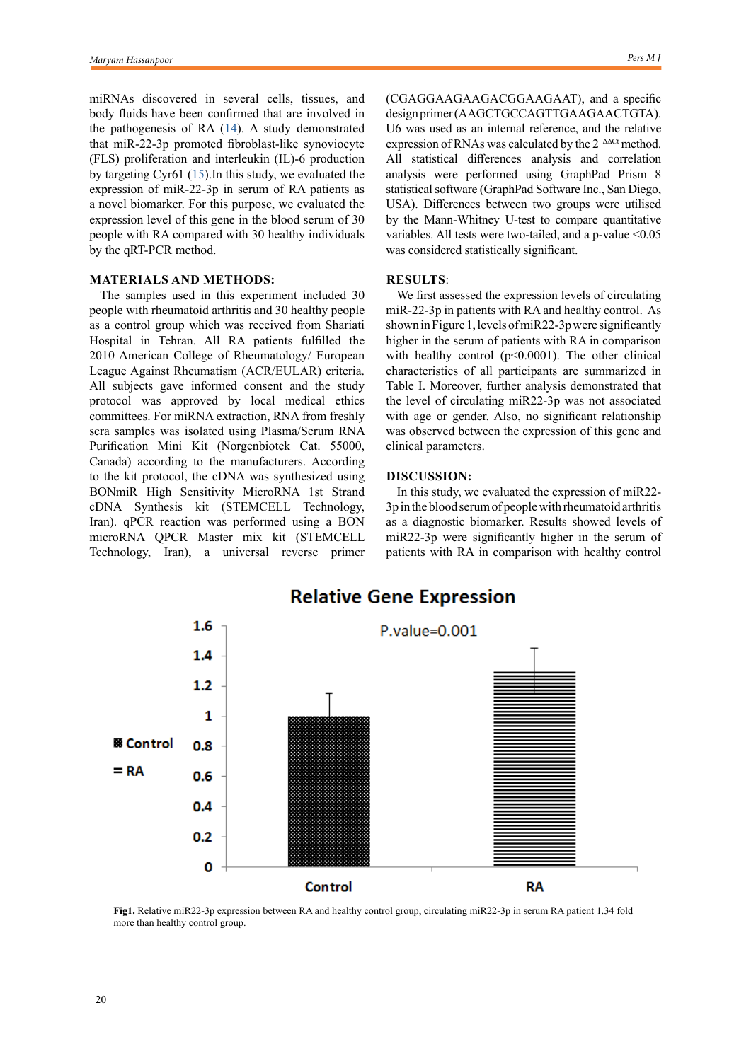miRNAs discovered in several cells, tissues, and body fluids have been confirmed that are involved in the pathogenesis of RA  $(14)$  $(14)$ . A study demonstrated that miR-22-3p promoted fibroblast-like synoviocyte (FLS) proliferation and interleukin (IL)-6 production by targeting Cyr61  $(15)$  $(15)$ . In this study, we evaluated the expression of miR-22-3p in serum of RA patients as a novel biomarker. For this purpose, we evaluated the expression level of this gene in the blood serum of 30 people with RA compared with 30 healthy individuals by the qRT-PCR method.

## **MATERIALS AND METHODS:**

The samples used in this experiment included 30 people with rheumatoid arthritis and 30 healthy people as a control group which was received from Shariati Hospital in Tehran. All RA patients fulfilled the 2010 American College of Rheumatology/ European League Against Rheumatism (ACR/EULAR) criteria. All subjects gave informed consent and the study protocol was approved by local medical ethics committees. For miRNA extraction, RNA from freshly sera samples was isolated using Plasma/Serum RNA Purification Mini Kit (Norgenbiotek Cat. 55000, Canada) according to the manufacturers. According to the kit protocol, the cDNA was synthesized using BONmiR High Sensitivity MicroRNA 1st Strand cDNA Synthesis kit (STEMCELL Technology, Iran). qPCR reaction was performed using a BON microRNA QPCR Master mix kit (STEMCELL Technology, Iran), a universal reverse primer (CGAGGAAGAAGACGGAAGAAT), and a specific design primer (AAGCTGCCAGTTGAAGAACTGTA). U6 was used as an internal reference, and the relative expression of RNAs was calculated by the 2<sup>−∆∆Ct</sup> method. All statistical differences analysis and correlation analysis were performed using GraphPad Prism 8 statistical software (GraphPad Software Inc., San Diego, USA). Differences between two groups were utilised by the Mann-Whitney U-test to compare quantitative variables. All tests were two-tailed, and a p-value <0.05 was considered statistically significant.

### **RESULTS**:

We first assessed the expression levels of circulating miR-22-3p in patients with RA and healthy control. As shown in Figure 1, levels of miR22-3p were significantly higher in the serum of patients with RA in comparison with healthy control ( $p<0.0001$ ). The other clinical characteristics of all participants are summarized in Table I. Moreover, further analysis demonstrated that the level of circulating miR22-3p was not associated with age or gender. Also, no significant relationship was observed between the expression of this gene and clinical parameters.

### **DISCUSSION:**

In this study, we evaluated the expression of miR22- 3p in the blood serum of people with rheumatoid arthritis as a diagnostic biomarker. Results showed levels of miR22-3p were significantly higher in the serum of patients with RA in comparison with healthy control



**Fig1.** Relative miR22-3p expression between RA and healthy control group, circulating miR22-3p in serum RA patient 1.34 fold more than healthy control group.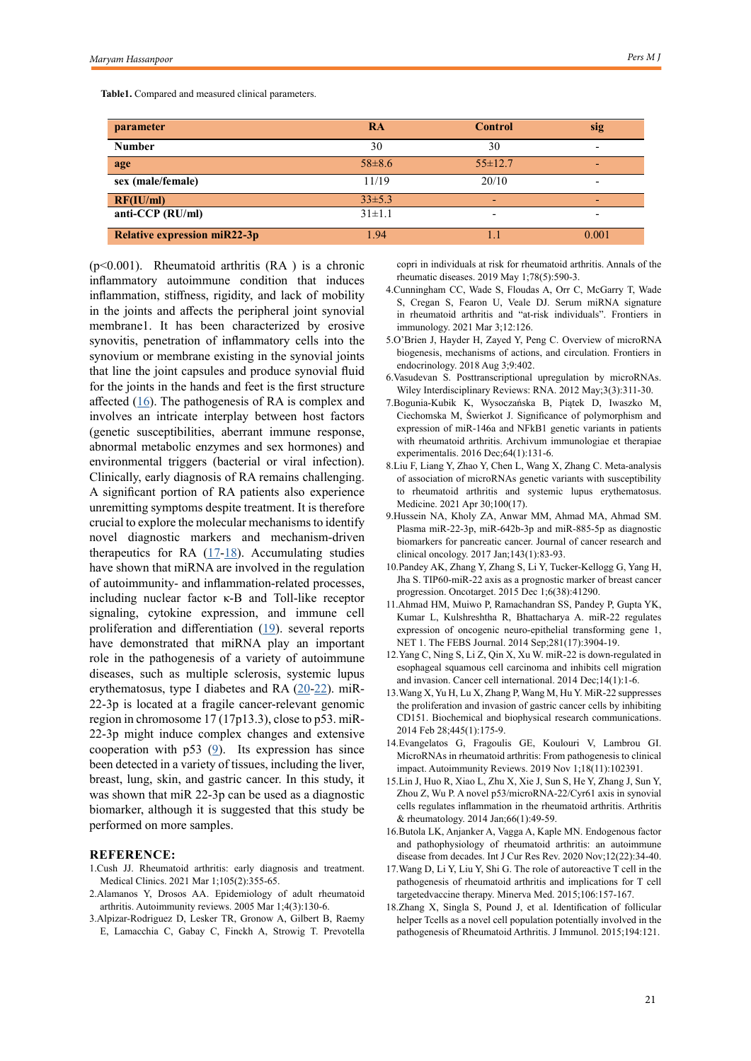**Table1.** Compared and measured clinical parameters.

| parameter                           | <b>RA</b>    | <b>Control</b> | sig   |
|-------------------------------------|--------------|----------------|-------|
| <b>Number</b>                       | 30           | 30             |       |
| age                                 | $58 \pm 8.6$ | $55 \pm 12.7$  |       |
| sex (male/female)                   | 11/19        | 20/10          |       |
| RF(IU/ml)                           | $33\pm5.3$   | ٠              |       |
| anti-CCP $(RU/ml)$                  | $31 \pm 1.1$ | -              |       |
| <b>Relative expression miR22-3p</b> | 1.94         |                | 0.001 |

 $(p<0.001)$ . Rheumatoid arthritis  $(RA)$  is a chronic inflammatory autoimmune condition that induces inflammation, stiffness, rigidity, and lack of mobility in the joints and affects the peripheral joint synovial membrane1. It has been characterized by erosive synovitis, penetration of inflammatory cells into the synovium or membrane existing in the synovial joints that line the joint capsules and produce synovial fluid for the joints in the hands and feet is the first structure affected ([16\)](Butola LK, Anjanker A, Vagga A, Kaple MN. Endogenous factor and pathophysiology of rheumatoid arthritis: an autoimmune disease from decades. Int J Cur Res Rev. 2020 Nov;12(22):34-40.
). The pathogenesis of RA is complex and involves an intricate interplay between host factors (genetic susceptibilities, aberrant immune response, abnormal metabolic enzymes and sex hormones) and environmental triggers (bacterial or viral infection). Clinically, early diagnosis of RA remains challenging. A significant portion of RA patients also experience unremitting symptoms despite treatment. It is therefore crucial to explore the molecular mechanisms to identify novel diagnostic markers and mechanism-driven therapeutics for RA  $(17-18)$  $(17-18)$  $(17-18)$ . Accumulating studies have shown that miRNA are involved in the regulation of autoimmunity- and inflammation-related processes, including nuclear factor κ-B and Toll-like receptor signaling, cytokine expression, and immune cell proliferation and differentiation [\(19](Aune TM, Crooke PS, Patrick AE, Tossberg JT, Olsen NJ, Spurlock CF. Expression of long non-coding RNAs in autoimmunity and linkage to enhancer function and autoimmune disease risk genetic variants. J Autoimmun. 2017;81:99-109.)). several reports have demonstrated that miRNA play an important role in the pathogenesis of a variety of autoimmune diseases, such as multiple sclerosis, systemic lupus erythematosus, type I diabetes and RA [\(20](Zhang F, Gao C, Ma XF, et al. Expression profile of long noncoding RNAs in peripheral blood mononuclear cells from multiple sclerosis patients. CNS Neurosci Ther. 2016;22:298-305. 
)[-22](Kaur S, Mirza AH, Brorsson CA, et al. The genetic and regulatory architecture of ERBB3-type I diabetes susceptibility locus. Mol Cell Endocrinol. 2016;419:83-91.
)). miR-22-3p is located at a fragile cancer-relevant genomic region in chromosome 17 (17p13.3), close to p53. miR-22-3p might induce complex changes and extensive cooperation with p53 ([9](Hussein NA, Kholy ZA, Anwar MM, Ahmad MA, Ahmad SM. Plasma miR-22-3p, miR-642b-3p and miR-885-5p as diagnostic biomarkers for pancreatic cancer. Journal of cancer research and clinical oncology. 2017 Jan;143(1):83-93.
)). Its expression has since been detected in a variety of tissues, including the liver, breast, lung, skin, and gastric cancer. In this study, it was shown that miR 22-3p can be used as a diagnostic biomarker, although it is suggested that this study be performed on more samples.

#### **REFERENCE:**

- 1.Cush JJ. Rheumatoid arthritis: early diagnosis and treatment. Medical Clinics. 2021 Mar 1;105(2):355-65.
- 2.Alamanos Y, Drosos AA. Epidemiology of adult rheumatoid arthritis. Autoimmunity reviews. 2005 Mar 1;4(3):130-6.
- 3.Alpizar-Rodriguez D, Lesker TR, Gronow A, Gilbert B, Raemy E, Lamacchia C, Gabay C, Finckh A, Strowig T. Prevotella

copri in individuals at risk for rheumatoid arthritis. Annals of the rheumatic diseases. 2019 May 1;78(5):590-3.

- 4.Cunningham CC, Wade S, Floudas A, Orr C, McGarry T, Wade S, Cregan S, Fearon U, Veale DJ. Serum miRNA signature in rheumatoid arthritis and "at-risk individuals". Frontiers in immunology. 2021 Mar 3;12:126.
- 5.O'Brien J, Hayder H, Zayed Y, Peng C. Overview of microRNA biogenesis, mechanisms of actions, and circulation. Frontiers in endocrinology. 2018 Aug 3;9:402.
- 6.Vasudevan S. Posttranscriptional upregulation by microRNAs. Wiley Interdisciplinary Reviews: RNA. 2012 May;3(3):311-30.
- 7.Bogunia-Kubik K, Wysoczańska B, Piątek D, Iwaszko M, Ciechomska M, Świerkot J. Significance of polymorphism and expression of miR-146a and NFkB1 genetic variants in patients with rheumatoid arthritis. Archivum immunologiae et therapiae experimentalis. 2016 Dec;64(1):131-6.
- 8.Liu F, Liang Y, Zhao Y, Chen L, Wang X, Zhang C. Meta-analysis of association of microRNAs genetic variants with susceptibility to rheumatoid arthritis and systemic lupus erythematosus. Medicine. 2021 Apr 30;100(17).
- 9.Hussein NA, Kholy ZA, Anwar MM, Ahmad MA, Ahmad SM. Plasma miR-22-3p, miR-642b-3p and miR-885-5p as diagnostic biomarkers for pancreatic cancer. Journal of cancer research and clinical oncology. 2017 Jan;143(1):83-93.
- 10.Pandey AK, Zhang Y, Zhang S, Li Y, Tucker-Kellogg G, Yang H, Jha S. TIP60-miR-22 axis as a prognostic marker of breast cancer progression. Oncotarget. 2015 Dec 1;6(38):41290.
- 11.Ahmad HM, Muiwo P, Ramachandran SS, Pandey P, Gupta YK, Kumar L, Kulshreshtha R, Bhattacharya A. miR‐22 regulates expression of oncogenic neuro-epithelial transforming gene 1, NET 1. The FEBS Journal. 2014 Sep;281(17):3904-19.
- 12.Yang C, Ning S, Li Z, Qin X, Xu W. miR-22 is down-regulated in esophageal squamous cell carcinoma and inhibits cell migration and invasion. Cancer cell international. 2014 Dec;14(1):1-6.
- 13.Wang X, Yu H, Lu X, Zhang P, Wang M, Hu Y. MiR-22 suppresses the proliferation and invasion of gastric cancer cells by inhibiting CD151. Biochemical and biophysical research communications. 2014 Feb 28;445(1):175-9.
- 14.Evangelatos G, Fragoulis GE, Koulouri V, Lambrou GI. MicroRNAs in rheumatoid arthritis: From pathogenesis to clinical impact. Autoimmunity Reviews. 2019 Nov 1;18(11):102391.
- 15.Lin J, Huo R, Xiao L, Zhu X, Xie J, Sun S, He Y, Zhang J, Sun Y, Zhou Z, Wu P. A novel p53/microRNA‐22/Cyr61 axis in synovial cells regulates inflammation in the rheumatoid arthritis. Arthritis & rheumatology. 2014 Jan;66(1):49-59.
- 16.Butola LK, Anjanker A, Vagga A, Kaple MN. Endogenous factor and pathophysiology of rheumatoid arthritis: an autoimmune disease from decades. Int J Cur Res Rev. 2020 Nov;12(22):34-40.
- 17.Wang D, Li Y, Liu Y, Shi G. The role of autoreactive T cell in the pathogenesis of rheumatoid arthritis and implications for T cell targetedvaccine therapy. Minerva Med. 2015;106:157-167.
- 18.Zhang X, Singla S, Pound J, et al. Identification of follicular helper Tcells as a novel cell population potentially involved in the pathogenesis of Rheumatoid Arthritis. J Immunol. 2015;194:121.